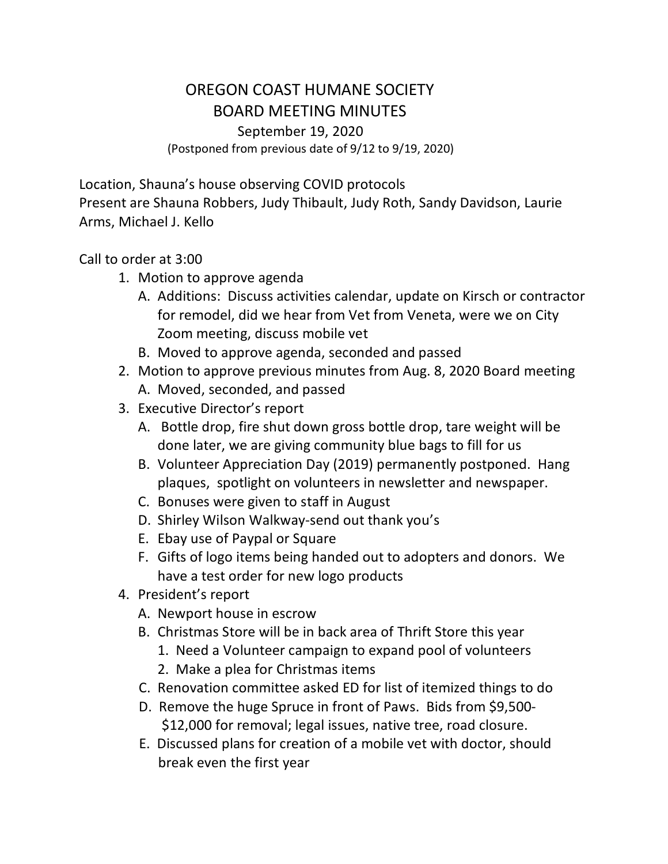## OREGON COAST HUMANE SOCIETY BOARD MEETING MINUTES September 19, 2020 (Postponed from previous date of 9/12 to 9/19, 2020)

Location, Shauna's house observing COVID protocols Present are Shauna Robbers, Judy Thibault, Judy Roth, Sandy Davidson, Laurie Arms, Michael J. Kello

## Call to order at 3:00

- 1. Motion to approve agenda
	- A. Additions: Discuss activities calendar, update on Kirsch or contractor for remodel, did we hear from Vet from Veneta, were we on City Zoom meeting, discuss mobile vet
	- B. Moved to approve agenda, seconded and passed
- 2. Motion to approve previous minutes from Aug. 8, 2020 Board meeting A. Moved, seconded, and passed
- 3. Executive Director's report
	- A. Bottle drop, fire shut down gross bottle drop, tare weight will be done later, we are giving community blue bags to fill for us
	- B. Volunteer Appreciation Day (2019) permanently postponed. Hang plaques, spotlight on volunteers in newsletter and newspaper.
	- C. Bonuses were given to staff in August
	- D. Shirley Wilson Walkway-send out thank you's
	- E. Ebay use of Paypal or Square
	- F. Gifts of logo items being handed out to adopters and donors. We have a test order for new logo products
- 4. President's report
	- A. Newport house in escrow
	- B. Christmas Store will be in back area of Thrift Store this year
		- 1. Need a Volunteer campaign to expand pool of volunteers
		- 2. Make a plea for Christmas items
	- C. Renovation committee asked ED for list of itemized things to do
	- D. Remove the huge Spruce in front of Paws. Bids from \$9,500- \$12,000 for removal; legal issues, native tree, road closure.
	- E. Discussed plans for creation of a mobile vet with doctor, should break even the first year